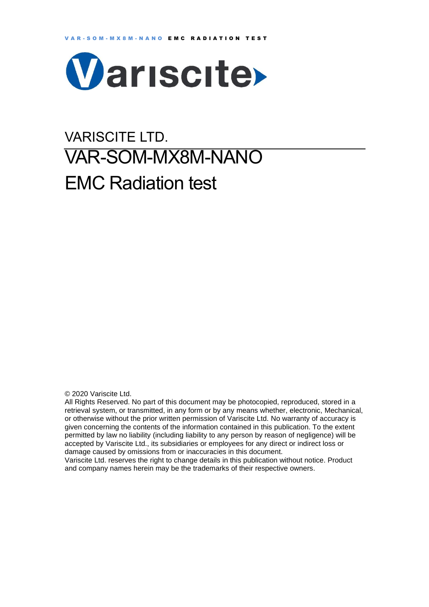

# VARISCITE LTD. VAR-SOM-MX8M-NANO EMC Radiation test

© 2020 Variscite Ltd.

All Rights Reserved. No part of this document may be photocopied, reproduced, stored in a retrieval system, or transmitted, in any form or by any means whether, electronic, Mechanical, or otherwise without the prior written permission of Variscite Ltd. No warranty of accuracy is given concerning the contents of the information contained in this publication. To the extent permitted by law no liability (including liability to any person by reason of negligence) will be accepted by Variscite Ltd., its subsidiaries or employees for any direct or indirect loss or damage caused by omissions from or inaccuracies in this document.

Variscite Ltd. reserves the right to change details in this publication without notice. Product and company names herein may be the trademarks of their respective owners.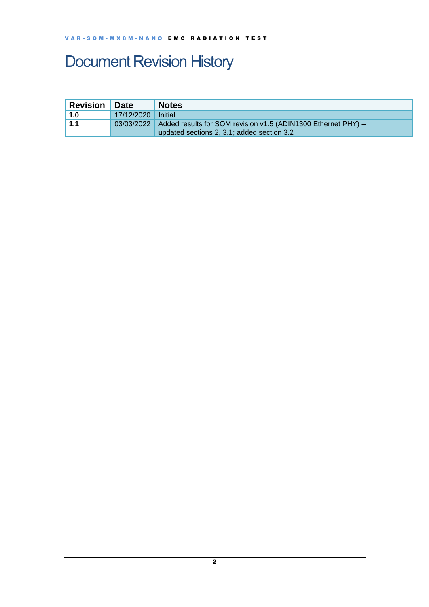## <span id="page-1-0"></span>Document Revision History

| <b>Revision</b> | <b>Date</b> | <b>Notes</b>                                                               |
|-----------------|-------------|----------------------------------------------------------------------------|
| 1.0             | 17/12/2020  | <b>Initial</b>                                                             |
| ∣ 1.1           |             | 03/03/2022   Added results for SOM revision v1.5 (ADIN1300 Ethernet PHY) - |
|                 |             | updated sections 2, 3.1; added section 3.2                                 |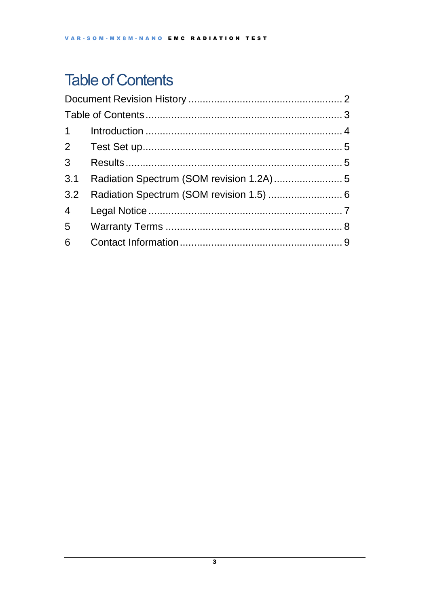## <span id="page-2-0"></span>**Table of Contents**

| $1 \quad \blacksquare$ |  |
|------------------------|--|
|                        |  |
|                        |  |
|                        |  |
|                        |  |
| $4\overline{ }$        |  |
|                        |  |
|                        |  |
|                        |  |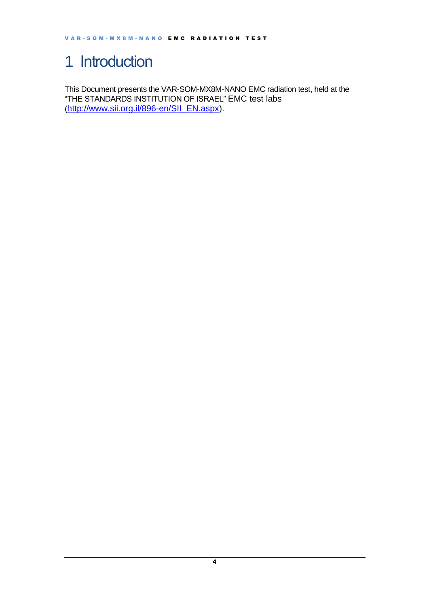## <span id="page-3-0"></span>1 Introduction

This Document presents the VAR-SOM-MX8M-NANO EMC radiation test, held at the "THE STANDARDS INSTITUTION OF ISRAEL" EMC test labs ([http://www.sii.org.il/896-en/SII\\_EN.aspx\)](http://www.sii.org.il/896-en/SII_EN.aspx).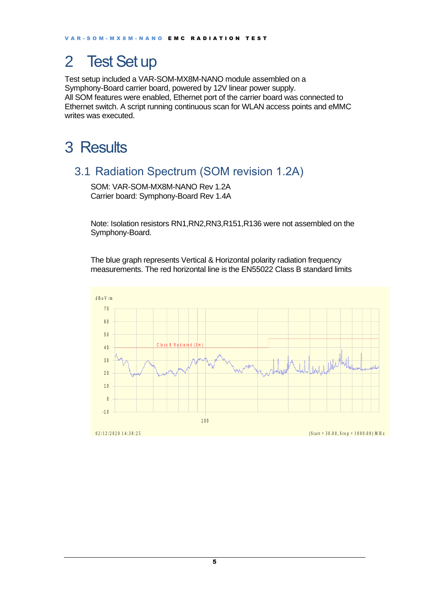### <span id="page-4-0"></span>2 Test Set up

Test setup included a VAR-SOM-MX8M-NANO module assembled on a Symphony-Board carrier board, powered by 12V linear power supply. All SOM features were enabled, Ethernet port of the carrier board was connected to Ethernet switch. A script running continuous scan for WLAN access points and eMMC writes was executed.

### <span id="page-4-1"></span>3 Results

#### <span id="page-4-2"></span>3.1 Radiation Spectrum (SOM revision 1.2A)

SOM: VAR-SOM-MX8M-NANO Rev 1.2A Carrier board: Symphony-Board Rev 1.4A

Note: Isolation resistors RN1,RN2,RN3,R151,R136 were not assembled on the Symphony-Board.

The blue graph represents Vertical & Horizontal polarity radiation frequency measurements. The red horizontal line is the EN55022 Class B standard limits

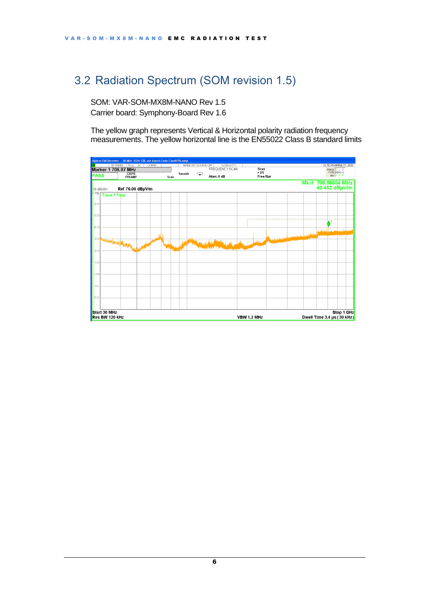#### <span id="page-5-0"></span>3.2 Radiation Spectrum (SOM revision 1.5)

SOM: VAR-SOM-MX8M-NANO Rev 1.5 Carrier board: Symphony-Board Rev 1.6

The yellow graph represents Vertical & Horizontal polarity radiation frequency measurements. The yellow horizontal line is the EN55022 Class B standard limits

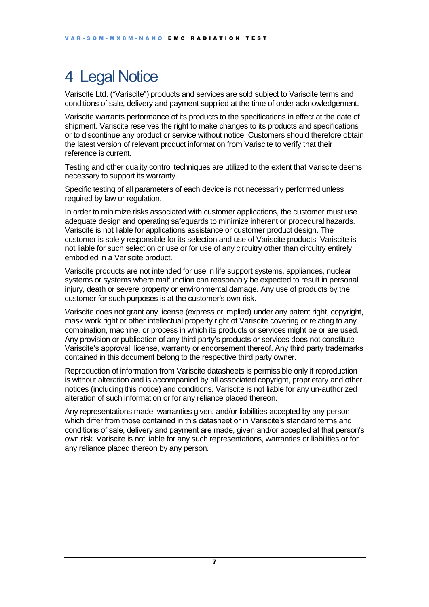## <span id="page-6-0"></span>4 Legal Notice

Variscite Ltd. ("Variscite") products and services are sold subject to Variscite terms and conditions of sale, delivery and payment supplied at the time of order acknowledgement.

Variscite warrants performance of its products to the specifications in effect at the date of shipment. Variscite reserves the right to make changes to its products and specifications or to discontinue any product or service without notice. Customers should therefore obtain the latest version of relevant product information from Variscite to verify that their reference is current.

Testing and other quality control techniques are utilized to the extent that Variscite deems necessary to support its warranty.

Specific testing of all parameters of each device is not necessarily performed unless required by law or regulation.

In order to minimize risks associated with customer applications, the customer must use adequate design and operating safeguards to minimize inherent or procedural hazards. Variscite is not liable for applications assistance or customer product design. The customer is solely responsible for its selection and use of Variscite products. Variscite is not liable for such selection or use or for use of any circuitry other than circuitry entirely embodied in a Variscite product.

Variscite products are not intended for use in life support systems, appliances, nuclear systems or systems where malfunction can reasonably be expected to result in personal injury, death or severe property or environmental damage. Any use of products by the customer for such purposes is at the customer's own risk.

Variscite does not grant any license (express or implied) under any patent right, copyright, mask work right or other intellectual property right of Variscite covering or relating to any combination, machine, or process in which its products or services might be or are used. Any provision or publication of any third party's products or services does not constitute Variscite's approval, license, warranty or endorsement thereof. Any third party trademarks contained in this document belong to the respective third party owner.

Reproduction of information from Variscite datasheets is permissible only if reproduction is without alteration and is accompanied by all associated copyright, proprietary and other notices (including this notice) and conditions. Variscite is not liable for any un-authorized alteration of such information or for any reliance placed thereon.

Any representations made, warranties given, and/or liabilities accepted by any person which differ from those contained in this datasheet or in Variscite's standard terms and conditions of sale, delivery and payment are made, given and/or accepted at that person's own risk. Variscite is not liable for any such representations, warranties or liabilities or for any reliance placed thereon by any person.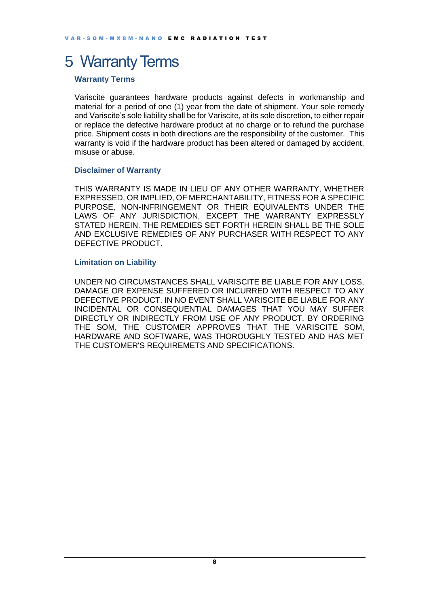#### <span id="page-7-0"></span>5 Warranty Terms

#### **Warranty Terms**

Variscite guarantees hardware products against defects in workmanship and material for a period of one (1) year from the date of shipment. Your sole remedy and Variscite's sole liability shall be for Variscite, at its sole discretion, to either repair or replace the defective hardware product at no charge or to refund the purchase price. Shipment costs in both directions are the responsibility of the customer. This warranty is void if the hardware product has been altered or damaged by accident, misuse or abuse.

#### **Disclaimer of Warranty**

THIS WARRANTY IS MADE IN LIEU OF ANY OTHER WARRANTY, WHETHER EXPRESSED, OR IMPLIED, OF MERCHANTABILITY, FITNESS FOR A SPECIFIC PURPOSE, NON-INFRINGEMENT OR THEIR EQUIVALENTS UNDER THE LAWS OF ANY JURISDICTION, EXCEPT THE WARRANTY EXPRESSLY STATED HEREIN. THE REMEDIES SET FORTH HEREIN SHALL BE THE SOLE AND EXCLUSIVE REMEDIES OF ANY PURCHASER WITH RESPECT TO ANY DEFECTIVE PRODUCT.

#### **Limitation on Liability**

UNDER NO CIRCUMSTANCES SHALL VARISCITE BE LIABLE FOR ANY LOSS, DAMAGE OR EXPENSE SUFFERED OR INCURRED WITH RESPECT TO ANY DEFECTIVE PRODUCT. IN NO EVENT SHALL VARISCITE BE LIABLE FOR ANY INCIDENTAL OR CONSEQUENTIAL DAMAGES THAT YOU MAY SUFFER DIRECTLY OR INDIRECTLY FROM USE OF ANY PRODUCT. BY ORDERING THE SOM, THE CUSTOMER APPROVES THAT THE VARISCITE SOM, HARDWARE AND SOFTWARE, WAS THOROUGHLY TESTED AND HAS MET THE CUSTOMER'S REQUIREMETS AND SPECIFICATIONS.